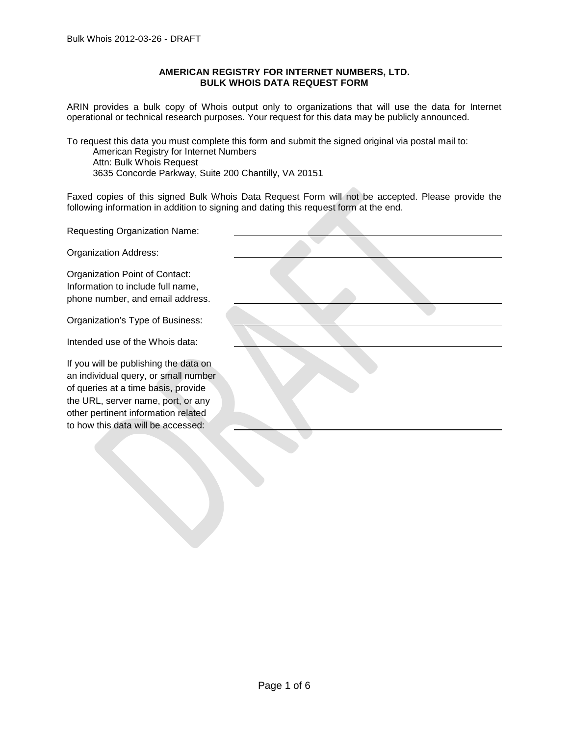# **AMERICAN REGISTRY FOR INTERNET NUMBERS, LTD. BULK WHOIS DATA REQUEST FORM**

ARIN provides a bulk copy of Whois output only to organizations that will use the data for Internet operational or technical research purposes. Your request for this data may be publicly announced.

To request this data you must complete this form and submit the signed original via postal mail to:

American Registry for Internet Numbers Attn: Bulk Whois Request 3635 Concorde Parkway, Suite 200 Chantilly, VA 20151

Faxed copies of this signed Bulk Whois Data Request Form will not be accepted. Please provide the following information in addition to signing and dating this request form at the end.

**Requesting Organization N** 

Organization Address:

Organization Point of Conta Information to include full n phone number, and email

Organization's Type of Bus

Intended use of the Whois

If you will be publishing the an individual query, or sma of queries at a time basis, the URL, server name, port other pertinent information to how this data will be acc

| Jame:                                           |  |
|-------------------------------------------------|--|
|                                                 |  |
| act:<br>ame,<br>address.                        |  |
| siness:                                         |  |
| data:                                           |  |
| e data on<br>all number<br>provide<br>t, or any |  |
| related<br>cessed:                              |  |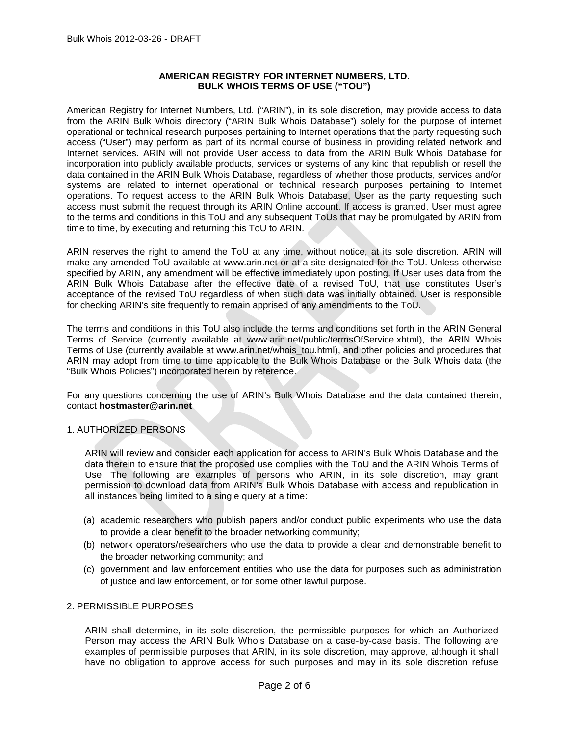# **AMERICAN REGISTRY FOR INTERNET NUMBERS, LTD. BULK WHOIS TERMS OF USE ("TOU")**

American Registry for Internet Numbers, Ltd. ("ARIN"), in its sole discretion, may provide access to data from the ARIN Bulk Whois directory ("ARIN Bulk Whois Database") solely for the purpose of internet operational or technical research purposes pertaining to Internet operations that the party requesting such access ("User") may perform as part of its normal course of business in providing related network and Internet services. ARIN will not provide User access to data from the ARIN Bulk Whois Database for incorporation into publicly available products, services or systems of any kind that republish or resell the data contained in the ARIN Bulk Whois Database, regardless of whether those products, services and/or systems are related to internet operational or technical research purposes pertaining to Internet operations. To request access to the ARIN Bulk Whois Database, User as the party requesting such access must submit the request through its ARIN Online account. If access is granted, User must agree to the terms and conditions in this ToU and any subsequent ToUs that may be promulgated by ARIN from time to time, by executing and returning this ToU to ARIN.

ARIN reserves the right to amend the ToU at any time, without notice, at its sole discretion. ARIN will make any amended ToU available at www.arin.net or at a site designated for the ToU. Unless otherwise specified by ARIN, any amendment will be effective immediately upon posting. If User uses data from the ARIN Bulk Whois Database after the effective date of a revised ToU, that use constitutes User's acceptance of the revised ToU regardless of when such data was initially obtained. User is responsible for checking ARIN's site frequently to remain apprised of any amendments to the ToU.

The terms and conditions in this ToU also include the terms and conditions set forth in the ARIN General Terms of Service (currently available at www.arin.net/public/termsOfService.xhtml), the ARIN Whois Terms of Use (currently available at www.arin.net/whois tou.html), and other policies and procedures that ARIN may adopt from time to time applicable to the Bulk Whois Database or the Bulk Whois data (the "Bulk Whois Policies") incorporated herein by reference.

For any questions concerning the use of ARIN's Bulk Whois Database and the data contained therein, contact **hostmaster@arin.net**

# 1. AUTHORIZED PERSONS

ARIN will review and consider each application for access to ARIN's Bulk Whois Database and the data therein to ensure that the proposed use complies with the ToU and the ARIN Whois Terms of Use. The following are examples of persons who ARIN, in its sole discretion, may grant permission to download data from ARIN's Bulk Whois Database with access and republication in all instances being limited to a single query at a time:

- (a) academic researchers who publish papers and/or conduct public experiments who use the data to provide a clear benefit to the broader networking community;
- (b) network operators/researchers who use the data to provide a clear and demonstrable benefit to the broader networking community; and
- (c) government and law enforcement entities who use the data for purposes such as administration of justice and law enforcement, or for some other lawful purpose.

## 2. PERMISSIBLE PURPOSES

ARIN shall determine, in its sole discretion, the permissible purposes for which an Authorized Person may access the ARIN Bulk Whois Database on a case-by-case basis. The following are examples of permissible purposes that ARIN, in its sole discretion, may approve, although it shall have no obligation to approve access for such purposes and may in its sole discretion refuse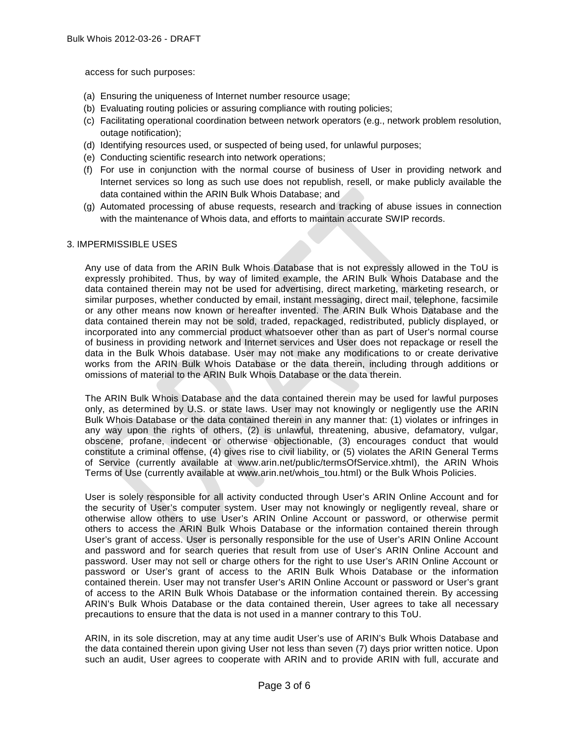access for such purposes:

- (a) Ensuring the uniqueness of Internet number resource usage;
- (b) Evaluating routing policies or assuring compliance with routing policies;
- (c) Facilitating operational coordination between network operators (e.g., network problem resolution, outage notification);
- (d) Identifying resources used, or suspected of being used, for unlawful purposes;
- (e) Conducting scientific research into network operations;
- (f) For use in conjunction with the normal course of business of User in providing network and Internet services so long as such use does not republish, resell, or make publicly available the data contained within the ARIN Bulk Whois Database; and
- (g) Automated processing of abuse requests, research and tracking of abuse issues in connection with the maintenance of Whois data, and efforts to maintain accurate SWIP records.

#### 3. IMPERMISSIBLE USES

Any use of data from the ARIN Bulk Whois Database that is not expressly allowed in the ToU is expressly prohibited. Thus, by way of limited example, the ARIN Bulk Whois Database and the data contained therein may not be used for advertising, direct marketing, marketing research, or similar purposes, whether conducted by email, instant messaging, direct mail, telephone, facsimile or any other means now known or hereafter invented. The ARIN Bulk Whois Database and the data contained therein may not be sold, traded, repackaged, redistributed, publicly displayed, or incorporated into any commercial product whatsoever other than as part of User's normal course of business in providing network and Internet services and User does not repackage or resell the data in the Bulk Whois database. User may not make any modifications to or create derivative works from the ARIN Bulk Whois Database or the data therein, including through additions or omissions of material to the ARIN Bulk Whois Database or the data therein.

The ARIN Bulk Whois Database and the data contained therein may be used for lawful purposes only, as determined by U.S. or state laws. User may not knowingly or negligently use the ARIN Bulk Whois Database or the data contained therein in any manner that: (1) violates or infringes in any way upon the rights of others, (2) is unlawful, threatening, abusive, defamatory, vulgar, obscene, profane, indecent or otherwise objectionable, (3) encourages conduct that would constitute a criminal offense, (4) gives rise to civil liability, or (5) violates the ARIN General Terms of Service (currently available at www.arin.net/public/termsOfService.xhtml), the ARIN Whois Terms of Use (currently available at [www.arin.net/whois\\_tou.html\)](http://www.arin.net/whois_tou.html) or the Bulk Whois Policies.

User is solely responsible for all activity conducted through User's ARIN Online Account and for the security of User's computer system. User may not knowingly or negligently reveal, share or otherwise allow others to use User's ARIN Online Account or password, or otherwise permit others to access the ARIN Bulk Whois Database or the information contained therein through User's grant of access. User is personally responsible for the use of User's ARIN Online Account and password and for search queries that result from use of User's ARIN Online Account and password. User may not sell or charge others for the right to use User's ARIN Online Account or password or User's grant of access to the ARIN Bulk Whois Database or the information contained therein. User may not transfer User's ARIN Online Account or password or User's grant of access to the ARIN Bulk Whois Database or the information contained therein. By accessing ARIN's Bulk Whois Database or the data contained therein, User agrees to take all necessary precautions to ensure that the data is not used in a manner contrary to this ToU.

ARIN, in its sole discretion, may at any time audit User's use of ARIN's Bulk Whois Database and the data contained therein upon giving User not less than seven (7) days prior written notice. Upon such an audit, User agrees to cooperate with ARIN and to provide ARIN with full, accurate and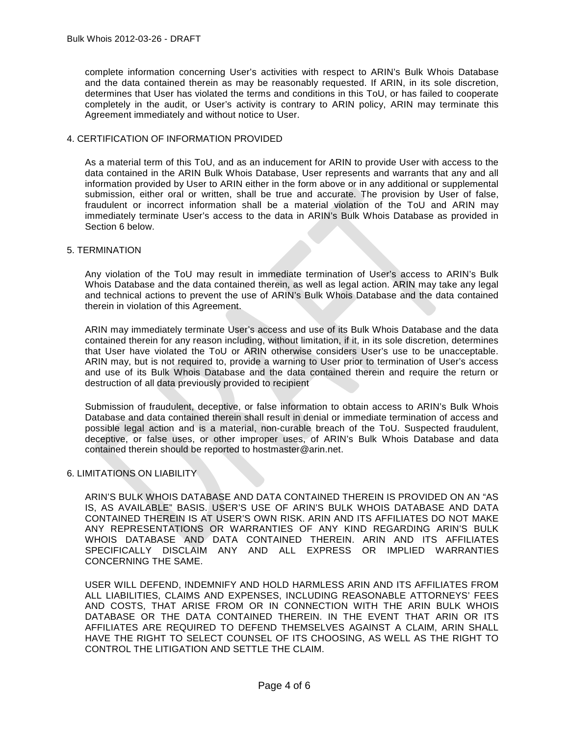complete information concerning User's activities with respect to ARIN's Bulk Whois Database and the data contained therein as may be reasonably requested. If ARIN, in its sole discretion, determines that User has violated the terms and conditions in this ToU, or has failed to cooperate completely in the audit, or User's activity is contrary to ARIN policy, ARIN may terminate this Agreement immediately and without notice to User.

## 4. CERTIFICATION OF INFORMATION PROVIDED

As a material term of this ToU, and as an inducement for ARIN to provide User with access to the data contained in the ARIN Bulk Whois Database, User represents and warrants that any and all information provided by User to ARIN either in the form above or in any additional or supplemental submission, either oral or written, shall be true and accurate. The provision by User of false, fraudulent or incorrect information shall be a material violation of the ToU and ARIN may immediately terminate User's access to the data in ARIN's Bulk Whois Database as provided in Section 6 below.

#### 5. TERMINATION

Any violation of the ToU may result in immediate termination of User's access to ARIN's Bulk Whois Database and the data contained therein, as well as legal action. ARIN may take any legal and technical actions to prevent the use of ARIN's Bulk Whois Database and the data contained therein in violation of this Agreement.

ARIN may immediately terminate User's access and use of its Bulk Whois Database and the data contained therein for any reason including, without limitation, if it, in its sole discretion, determines that User have violated the ToU or ARIN otherwise considers User's use to be unacceptable. ARIN may, but is not required to, provide a warning to User prior to termination of User's access and use of its Bulk Whois Database and the data contained therein and require the return or destruction of all data previously provided to recipient

Submission of fraudulent, deceptive, or false information to obtain access to ARIN's Bulk Whois Database and data contained therein shall result in denial or immediate termination of access and possible legal action and is a material, non-curable breach of the ToU. Suspected fraudulent, deceptive, or false uses, or other improper uses, of ARIN's Bulk Whois Database and data contained therein should be reported to hostmaster@arin.net.

## 6. LIMITATIONS ON LIABILITY

ARIN'S BULK WHOIS DATABASE AND DATA CONTAINED THEREIN IS PROVIDED ON AN "AS IS, AS AVAILABLE" BASIS. USER'S USE OF ARIN'S BULK WHOIS DATABASE AND DATA CONTAINED THEREIN IS AT USER'S OWN RISK. ARIN AND ITS AFFILIATES DO NOT MAKE ANY REPRESENTATIONS OR WARRANTIES OF ANY KIND REGARDING ARIN'S BULK WHOIS DATABASE AND DATA CONTAINED THEREIN. ARIN AND ITS AFFILIATES SPECIFICALLY DISCLAIM ANY AND ALL EXPRESS OR IMPLIED WARRANTIES CONCERNING THE SAME.

USER WILL DEFEND, INDEMNIFY AND HOLD HARMLESS ARIN AND ITS AFFILIATES FROM ALL LIABILITIES, CLAIMS AND EXPENSES, INCLUDING REASONABLE ATTORNEYS' FEES AND COSTS, THAT ARISE FROM OR IN CONNECTION WITH THE ARIN BULK WHOIS DATABASE OR THE DATA CONTAINED THEREIN. IN THE EVENT THAT ARIN OR ITS AFFILIATES ARE REQUIRED TO DEFEND THEMSELVES AGAINST A CLAIM, ARIN SHALL HAVE THE RIGHT TO SELECT COUNSEL OF ITS CHOOSING, AS WELL AS THE RIGHT TO CONTROL THE LITIGATION AND SETTLE THE CLAIM.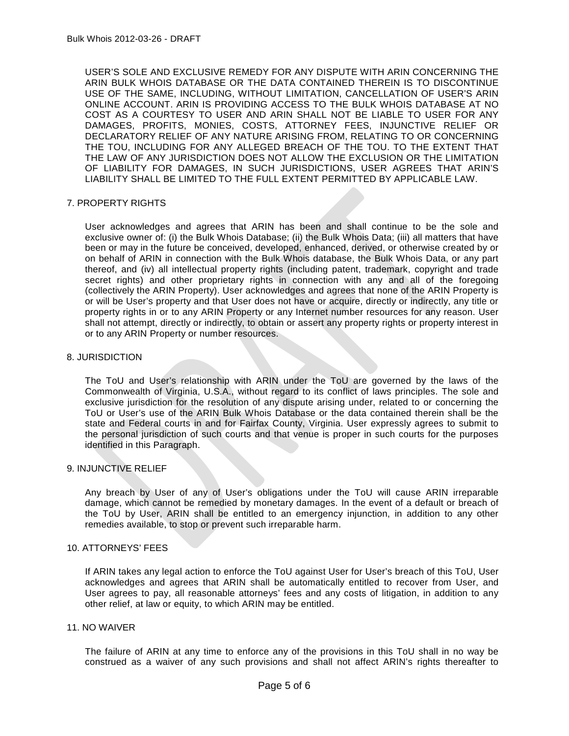USER'S SOLE AND EXCLUSIVE REMEDY FOR ANY DISPUTE WITH ARIN CONCERNING THE ARIN BULK WHOIS DATABASE OR THE DATA CONTAINED THEREIN IS TO DISCONTINUE USE OF THE SAME, INCLUDING, WITHOUT LIMITATION, CANCELLATION OF USER'S ARIN ONLINE ACCOUNT. ARIN IS PROVIDING ACCESS TO THE BULK WHOIS DATABASE AT NO COST AS A COURTESY TO USER AND ARIN SHALL NOT BE LIABLE TO USER FOR ANY DAMAGES, PROFITS, MONIES, COSTS, ATTORNEY FEES, INJUNCTIVE RELIEF OR DECLARATORY RELIEF OF ANY NATURE ARISING FROM, RELATING TO OR CONCERNING THE TOU, INCLUDING FOR ANY ALLEGED BREACH OF THE TOU. TO THE EXTENT THAT THE LAW OF ANY JURISDICTION DOES NOT ALLOW THE EXCLUSION OR THE LIMITATION OF LIABILITY FOR DAMAGES, IN SUCH JURISDICTIONS, USER AGREES THAT ARIN'S LIABILITY SHALL BE LIMITED TO THE FULL EXTENT PERMITTED BY APPLICABLE LAW.

## 7. PROPERTY RIGHTS

User acknowledges and agrees that ARIN has been and shall continue to be the sole and exclusive owner of: (i) the Bulk Whois Database; (ii) the Bulk Whois Data; (iii) all matters that have been or may in the future be conceived, developed, enhanced, derived, or otherwise created by or on behalf of ARIN in connection with the Bulk Whois database, the Bulk Whois Data, or any part thereof, and (iv) all intellectual property rights (including patent, trademark, copyright and trade secret rights) and other proprietary rights in connection with any and all of the foregoing (collectively the ARIN Property). User acknowledges and agrees that none of the ARIN Property is or will be User's property and that User does not have or acquire, directly or indirectly, any title or property rights in or to any ARIN Property or any Internet number resources for any reason. User shall not attempt, directly or indirectly, to obtain or assert any property rights or property interest in or to any ARIN Property or number resources.

#### 8. JURISDICTION

The ToU and User's relationship with ARIN under the ToU are governed by the laws of the Commonwealth of Virginia, U.S.A., without regard to its conflict of laws principles. The sole and exclusive jurisdiction for the resolution of any dispute arising under, related to or concerning the ToU or User's use of the ARIN Bulk Whois Database or the data contained therein shall be the state and Federal courts in and for Fairfax County, Virginia. User expressly agrees to submit to the personal jurisdiction of such courts and that venue is proper in such courts for the purposes identified in this Paragraph.

#### 9. INJUNCTIVE RELIEF

Any breach by User of any of User's obligations under the ToU will cause ARIN irreparable damage, which cannot be remedied by monetary damages. In the event of a default or breach of the ToU by User, ARIN shall be entitled to an emergency injunction, in addition to any other remedies available, to stop or prevent such irreparable harm.

## 10. ATTORNEYS' FEES

If ARIN takes any legal action to enforce the ToU against User for User's breach of this ToU, User acknowledges and agrees that ARIN shall be automatically entitled to recover from User, and User agrees to pay, all reasonable attorneys' fees and any costs of litigation, in addition to any other relief, at law or equity, to which ARIN may be entitled.

#### 11. NO WAIVER

The failure of ARIN at any time to enforce any of the provisions in this ToU shall in no way be construed as a waiver of any such provisions and shall not affect ARIN's rights thereafter to